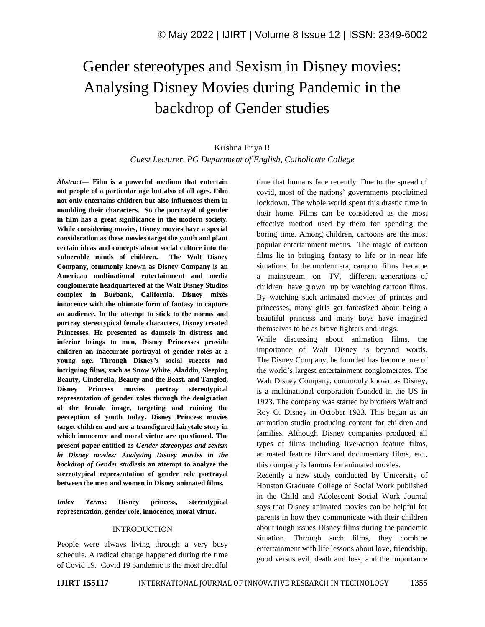## Gender stereotypes and Sexism in Disney movies: Analysing Disney Movies during Pandemic in the backdrop of Gender studies

## Krishna Priya R *Guest Lecturer, PG Department of English, Catholicate College*

*Abstract—* **Film is a powerful medium that entertain not people of a particular age but also of all ages. Film not only entertains children but also influences them in moulding their characters. So the portrayal of gender in film has a great significance in the modern society. While considering movies, Disney movies have a special consideration as these movies target the youth and plant certain ideas and concepts about social culture into the vulnerable minds of children. The Walt Disney Company, commonly known as Disney Company is an American multinational entertainment and media conglomerate headquartered at the Walt Disney Studios complex in Burbank, California. Disney mixes innocence with the ultimate form of fantasy to capture an audience. In the attempt to stick to the norms and portray stereotypical female characters, Disney created Princesses. He presented as damsels in distress and inferior beings to men, Disney Princesses provide children an inaccurate portrayal of gender roles at a young age. Through Disney's social success and intriguing films, such as Snow White, Aladdin, Sleeping Beauty, Cinderella, Beauty and the Beast, and Tangled, Disney Princess movies portray stereotypical representation of gender roles through the denigration of the female image, targeting and ruining the perception of youth today. Disney Princess movies target children and are a transfigured fairytale story in which innocence and moral virtue are questioned. The present paper entitled as** *Gender stereotypes and sexism in Disney movies: Analysing Disney movies in the backdrop of Gender studies***is an attempt to analyze the stereotypical representation of gender role portrayal between the men and women in Disney animated films.**

*Index Terms:* **Disney princess, stereotypical representation, gender role, innocence, moral virtue.**

## INTRODUCTION

People were always living through a very busy schedule. A radical change happened during the time of Covid 19. Covid 19 pandemic is the most dreadful time that humans face recently. Due to the spread of covid, most of the nations' governments proclaimed lockdown. The whole world spent this drastic time in their home. Films can be considered as the most effective method used by them for spending the boring time. Among children, cartoons are the most popular entertainment means. The magic of cartoon films lie in bringing fantasy to life or in near life situations. In the modern era, cartoon films became a mainstream on TV, different generations of children have grown up by watching cartoon films. By watching such animated movies of princes and princesses, many girls get fantasized about being a beautiful princess and many boys have imagined themselves to be as brave fighters and kings.

While discussing about animation films, the importance of Walt Disney is beyond words. The Disney Company, he founded has become one of the world's largest entertainment conglomerates. The Walt Disney Company, commonly known as Disney, is a multinational corporation founded in the US in 1923. The company was started by brothers Walt and Roy O. Disney in October 1923. This began as an animation studio producing content for children and families. Although Disney companies produced all types of films including live-action feature films, animated feature films and documentary films, etc., this company is famous for animated movies.

Recently a new study conducted by University of Houston Graduate College of Social Work published in the Child and Adolescent Social Work Journal says that Disney animated movies can be helpful for parents in how they communicate with their children about tough issues Disney films during the pandemic situation. Through such films, they combine entertainment with life lessons about love, friendship, good versus evil, death and loss, and the importance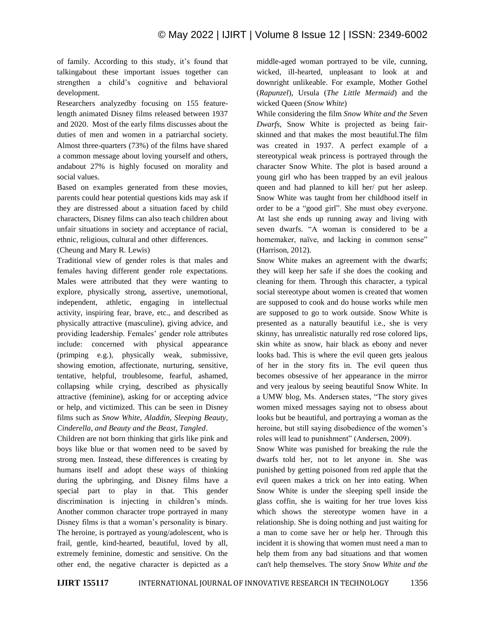of family. According to this study, it's found that talkingabout these important issues together can strengthen a child's cognitive and behavioral development.

Researchers analyzedby focusing on 155 featurelength animated Disney films released between 1937 and 2020. Most of the early films discusses about the duties of men and women in a patriarchal society. Almost three-quarters (73%) of the films have shared a common message about loving yourself and others, andabout 27% is highly focused on morality and social values.

Based on examples generated from these movies, parents could hear potential questions kids may ask if they are distressed about a situation faced by child characters, Disney films can also teach children about unfair situations in society and acceptance of racial, ethnic, religious, cultural and other differences.

(Cheung and Mary R. Lewis)

Traditional view of gender roles is that males and females having different gender role expectations. Males were attributed that they were wanting to explore, physically strong, assertive, unemotional, independent, athletic, engaging in intellectual activity, inspiring fear, brave, etc., and described as physically attractive (masculine), giving advice, and providing leadership. Females' gender role attributes include: concerned with physical appearance (primping e.g.), physically weak, submissive, showing emotion, affectionate, nurturing, sensitive, tentative, helpful, troublesome, fearful, ashamed, collapsing while crying, described as physically attractive (feminine), asking for or accepting advice or help, and victimized. This can be seen in Disney films such as *Snow White, Aladdin, Sleeping Beauty, Cinderella, and Beauty and the Beast, Tangled*.

Children are not born thinking that girls like pink and boys like blue or that women need to be saved by strong men. Instead, these differences is creating by humans itself and adopt these ways of thinking during the upbringing, and Disney films have a special part to play in that. This gender discrimination is injecting in children's minds. Another common character trope portrayed in many Disney films is that a woman's personality is binary. The heroine, is portrayed as young/adolescent, who is frail, gentle, kind-hearted, beautiful, loved by all, extremely feminine, domestic and sensitive. On the other end, the negative character is depicted as a middle-aged woman portrayed to be vile, cunning, wicked, ill-hearted, unpleasant to look at and downright unlikeable. For example, Mother Gothel (*Rapunzel*), Ursula (*The Little Mermaid*) and the wicked Queen (*Snow White*)

While considering the film *Snow White and the Seven Dwarfs*, Snow White is projected as being fairskinned and that makes the most beautiful.The film was created in 1937. A perfect example of a stereotypical weak princess is portrayed through the character Snow White. The plot is based around a young girl who has been trapped by an evil jealous queen and had planned to kill her/ put her asleep. Snow White was taught from her childhood itself in order to be a "good girl". She must obey everyone. At last she ends up running away and living with seven dwarfs. "A woman is considered to be a homemaker, naïve, and lacking in common sense" (Harrison, 2012).

Snow White makes an agreement with the dwarfs; they will keep her safe if she does the cooking and cleaning for them. Through this character, a typical social stereotype about women is created that women are supposed to cook and do house works while men are supposed to go to work outside. Snow White is presented as a naturally beautiful i.e., she is very skinny, has unrealistic naturally red rose colored lips, skin white as snow, hair black as ebony and never looks bad. This is where the evil queen gets jealous of her in the story fits in. The evil queen thus becomes obsessive of her appearance in the mirror and very jealous by seeing beautiful Snow White. In a UMW blog, Ms. Andersen states, "The story gives women mixed messages saying not to obsess about looks but be beautiful, and portraying a woman as the heroine, but still saying disobedience of the women's roles will lead to punishment" (Andersen, 2009).

Snow White was punished for breaking the rule the dwarfs told her, not to let anyone in. She was punished by getting poisoned from red apple that the evil queen makes a trick on her into eating. When Snow White is under the sleeping spell inside the glass coffin, she is waiting for her true loves kiss which shows the stereotype women have in a relationship. She is doing nothing and just waiting for a man to come save her or help her. Through this incident it is showing that women must need a man to help them from any bad situations and that women can't help themselves. The story *Snow White and the*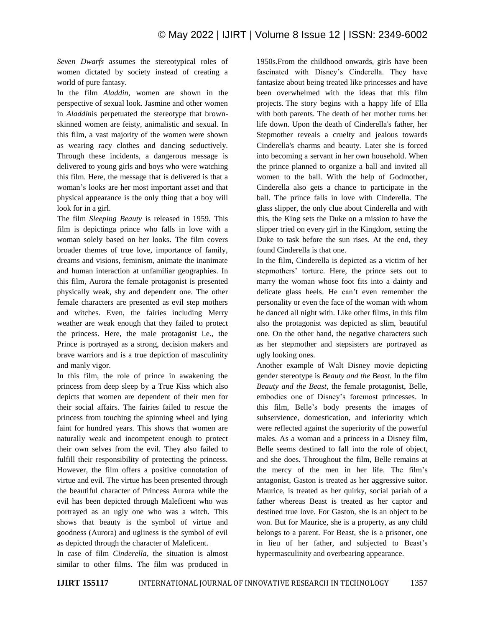*Seven Dwarfs* assumes the stereotypical roles of women dictated by society instead of creating a world of pure fantasy.

In the film *Aladdin,* women are shown in the perspective of sexual look. Jasmine and other women in *Aladdin*is perpetuated the stereotype that brownskinned women are feisty, animalistic and sexual. In this film, a vast majority of the women were shown as wearing racy clothes and dancing seductively. Through these incidents, a dangerous message is delivered to young girls and boys who were watching this film. Here, the message that is delivered is that a woman's looks are her most important asset and that physical appearance is the only thing that a boy will look for in a girl.

The film *Sleeping Beauty* is released in 1959. This film is depictinga prince who falls in love with a woman solely based on her looks. The film covers broader themes of true love, importance of family, dreams and visions, feminism, animate the inanimate and human interaction at unfamiliar geographies. In this film, Aurora the female protagonist is presented physically weak, shy and dependent one. The other female characters are presented as evil step mothers and witches. Even, the fairies including Merry weather are weak enough that they failed to protect the princess. Here, the male protagonist i.e., the Prince is portrayed as a strong, decision makers and brave warriors and is a true depiction of masculinity and manly vigor.

In this film, the role of prince in awakening the princess from deep sleep by a True Kiss which also depicts that women are dependent of their men for their social affairs. The fairies failed to rescue the princess from touching the spinning wheel and lying faint for hundred years. This shows that women are naturally weak and incompetent enough to protect their own selves from the evil. They also failed to fulfill their responsibility of protecting the princess. However, the film offers a positive connotation of virtue and evil. The virtue has been presented through the beautiful character of Princess Aurora while the evil has been depicted through Maleficent who was portrayed as an ugly one who was a witch. This shows that beauty is the symbol of virtue and goodness (Aurora) and ugliness is the symbol of evil as depicted through the character of Maleficent.

In case of film *Cinderella*, the situation is almost similar to other films. The film was produced in 1950s.From the childhood onwards, girls have been fascinated with Disney's Cinderella. They have fantasize about being treated like princesses and have been overwhelmed with the ideas that this film projects. The story begins with a happy life of Ella with both parents. The death of her mother turns her life down. Upon the death of Cinderella's father, her Stepmother reveals a cruelty and jealous towards Cinderella's charms and beauty. Later she is forced into becoming a servant in her own household. When the prince planned to organize a ball and invited all women to the ball. With the help of Godmother, Cinderella also gets a chance to participate in the ball. The prince falls in love with Cinderella. The glass slipper, the only clue about Cinderella and with this, the King sets the Duke on a mission to have the slipper tried on every girl in the Kingdom, setting the Duke to task before the sun rises. At the end, they found Cinderella is that one.

In the film, Cinderella is depicted as a victim of her stepmothers' torture. Here, the prince sets out to marry the woman whose foot fits into a dainty and delicate glass heels. He can't even remember the personality or even the face of the woman with whom he danced all night with. Like other films, in this film also the protagonist was depicted as slim, beautiful one. On the other hand, the negative characters such as her stepmother and stepsisters are portrayed as ugly looking ones.

Another example of Walt Disney movie depicting gender stereotype is *Beauty and the Beast.* In the film *Beauty and the Beast*, the female protagonist, Belle, embodies one of Disney's foremost princesses. In this film, Belle's body presents the images of subservience, domestication, and inferiority which were reflected against the superiority of the powerful males. As a woman and a princess in a Disney film, Belle seems destined to fall into the role of object, and she does. Throughout the film, Belle remains at the mercy of the men in her life. The film's antagonist, Gaston is treated as her aggressive suitor. Maurice, is treated as her quirky, social pariah of a father whereas Beast is treated as her captor and destined true love. For Gaston, she is an object to be won. But for Maurice, she is a property, as any child belongs to a parent. For Beast, she is a prisoner, one in lieu of her father, and subjected to Beast's hypermasculinity and overbearing appearance.